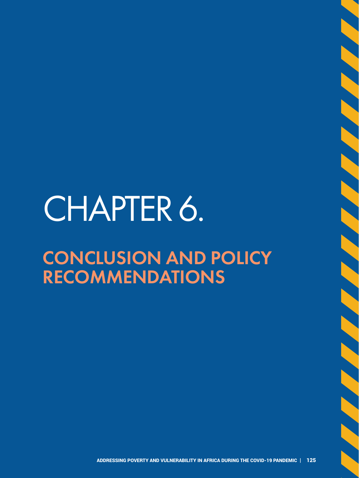# CHAPTER 6.

## CONCLUSION AND POLICY RECOMMENDATIONS

**SASAN SASAN SASA**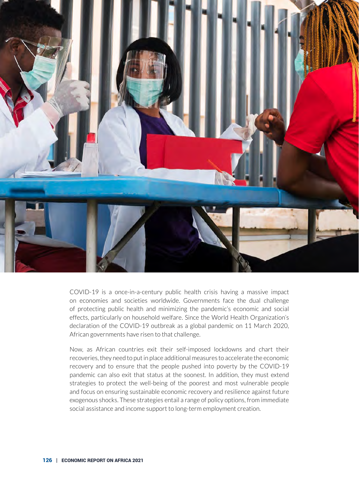

COVID-19 is a once-in-a-century public health crisis having a massive impact on economies and societies worldwide. Governments face the dual challenge of protecting public health and minimizing the pandemic's economic and social effects, particularly on household welfare. Since the World Health Organization's declaration of the COVID-19 outbreak as a global pandemic on 11 March 2020, African governments have risen to that challenge.

Now, as African countries exit their self-imposed lockdowns and chart their recoveries, they need to put in place additional measures to accelerate the economic recovery and to ensure that the people pushed into poverty by the COVID-19 pandemic can also exit that status at the soonest. In addition, they must extend strategies to protect the well-being of the poorest and most vulnerable people and focus on ensuring sustainable economic recovery and resilience against future exogenous shocks. These strategies entail a range of policy options, from immediate social assistance and income support to long-term employment creation.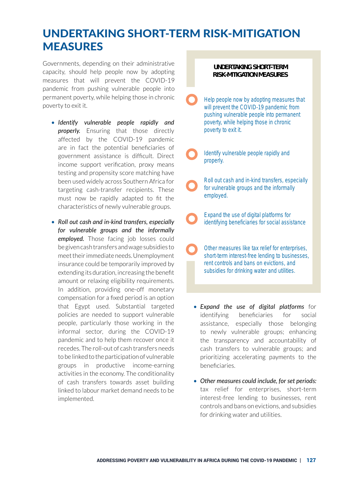## UNDERTAKING SHORT-TERM RISK-MITIGATION MEASURES

Governments, depending on their administrative capacity, should help people now by adopting measures that will prevent the COVID-19 pandemic from pushing vulnerable people into permanent poverty, while helping those in chronic poverty to exit it.

- *Identify vulnerable people rapidly and*  **properly.** Ensuring that those directly affected by the COVID-19 pandemic are in fact the potential beneficiaries of government assistance is difficult. Direct income support verification, proxy means testing and propensity score matching have been used widely across Southern Africa for targeting cash-transfer recipients. These must now be rapidly adapted to fit the characteristics of newly vulnerable groups.
- *Roll out cash and in-kind transfers, especially for vulnerable groups and the informally employed.* Those facing job losses could be given cash transfers and wage subsidies to meet their immediate needs. Unemployment insurance could be temporarily improved by extending its duration, increasing the benefit amount or relaxing eligibility requirements. In addition, providing one-off monetary compensation for a fixed period is an option that Egypt used. Substantial targeted policies are needed to support vulnerable people, particularly those working in the informal sector, during the COVID-19 pandemic and to help them recover once it recedes. The roll-out of cash transfers needs to be linked to the participation of vulnerable groups in productive income-earning activities in the economy. The conditionality of cash transfers towards asset building linked to labour market demand needs to be implemented.

#### **UNDERTAKING SHORT-TERM RISK-MITIGATION MEASURES**

- Help people now by adopting measures that will prevent the COVID-19 pandemic from pushing vulnerable people into permanent poverty, while helping those in chronic poverty to exit it.
- Identify vulnerable people rapidly and properly.
- Roll out cash and in-kind transfers, especially for vulnerable groups and the informally employed.
- Expand the use of digital platforms for identifying beneficiaries for social assistance
- Other measures like tax relief for enterprises, short-term interest-free lending to businesses, rent controls and bans on evictions, and subsidies for drinking water and utilities.
- *Expand the use of digital platforms* for identifying beneficiaries for social assistance, especially those belonging to newly vulnerable groups; enhancing the transparency and accountability of cash transfers to vulnerable groups; and prioritizing accelerating payments to the beneficiaries.
- *Other measures could include, for set periods:* tax relief for enterprises, short-term interest-free lending to businesses, rent controls and bans on evictions, and subsidies for drinking water and utilities.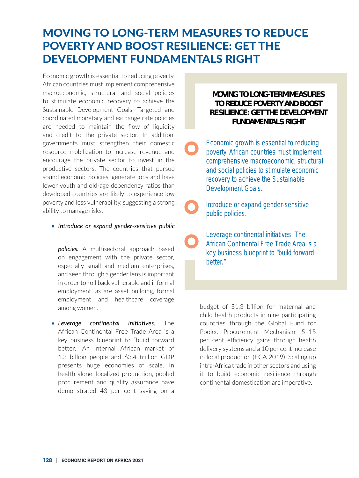## MOVING TO LONG-TERM MEASURES TO REDUCE POVERTY AND BOOST RESILIENCE: GET THE DEVELOPMENT FUNDAMENTALS RIGHT

Economic growth is essential to reducing poverty. African countries must implement comprehensive macroeconomic, structural and social policies to stimulate economic recovery to achieve the Sustainable Development Goals. Targeted and coordinated monetary and exchange rate policies are needed to maintain the flow of liquidity and credit to the private sector. In addition, governments must strengthen their domestic resource mobilization to increase revenue and encourage the private sector to invest in the productive sectors. The countries that pursue sound economic policies, generate jobs and have lower youth and old-age dependency ratios than developed countries are likely to experience low poverty and less vulnerability, suggesting a strong ability to manage risks.

• *Introduce or expand gender-sensitive public* 

*policies.* A multisectoral approach based on engagement with the private sector, especially small and medium enterprises, and seen through a gender lens is important in order to roll back vulnerable and informal employment, as are asset building, formal employment and healthcare coverage among women.

• *Leverage continental initiatives.* The African Continental Free Trade Area is a key business blueprint to "build forward better." An internal African market of 1.3 billion people and \$3.4 trillion GDP presents huge economies of scale. In health alone, localized production, pooled procurement and quality assurance have demonstrated 43 per cent saving on a

#### **MOVING TO LONG-TERM MEASURES TO REDUCE POVERTY AND BOOST RESILIENCE: GET THE DEVELOPMENT FUNDAMENTALS RIGHT**

Economic growth is essential to reducing poverty. African countries must implement comprehensive macroeconomic, structural and social policies to stimulate economic recovery to achieve the Sustainable Development Goals.

Introduce or expand gender-sensitive public policies.

Leverage continental initiatives. The African Continental Free Trade Area is a key business blueprint to "build forward better."

budget of \$1.3 billion for maternal and child health products in nine participating countries through the Global Fund for Pooled Procurement Mechanism: 5–15 per cent efficiency gains through health delivery systems and a 10 per cent increase in local production (ECA 2019). Scaling up intra-Africa trade in other sectors and using it to build economic resilience through continental domestication are imperative.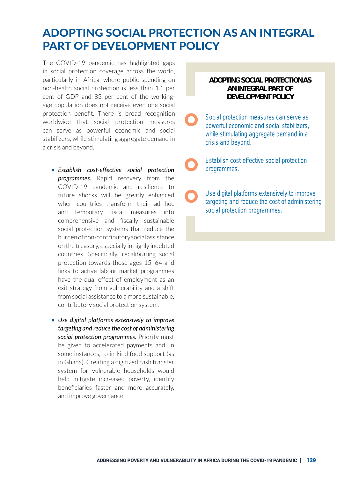## ADOPTING SOCIAL PROTECTION AS AN INTEGRAL PART OF DEVELOPMENT POLICY

The COVID-19 pandemic has highlighted gaps in social protection coverage across the world, particularly in Africa, where public spending on non-health social protection is less than 1.1 per cent of GDP and 83 per cent of the workingage population does not receive even one social protection benefit. There is broad recognition worldwide that social protection measures can serve as powerful economic and social stabilizers, while stimulating aggregate demand in a crisis and beyond.

- *Establish cost-effective social protection programmes.* Rapid recovery from the COVID-19 pandemic and resilience to future shocks will be greatly enhanced when countries transform their ad hoc and temporary fiscal measures into comprehensive and fiscally sustainable social protection systems that reduce the burden of non-contributory social assistance on the treasury, especially in highly indebted countries. Specifically, recalibrating social protection towards those ages 15–64 and links to active labour market programmes have the dual effect of employment as an exit strategy from vulnerability and a shift from social assistance to a more sustainable, contributory social protection system.
- *Use digital platforms extensively to improve targeting and reduce the cost of administering social protection programmes.* Priority must be given to accelerated payments and, in some instances, to in-kind food support (as in Ghana). Creating a digitized cash transfer system for vulnerable households would help mitigate increased poverty, identify beneficiaries faster and more accurately, and improve governance.

#### **ADOPTING SOCIAL PROTECTION AS AN INTEGRAL PART OF DEVELOPMENT POLICY**

Social protection measures can serve as powerful economic and social stabilizers, while stimulating aggregate demand in a crisis and beyond.

Establish cost-effective social protection programmes.

Use digital platforms extensively to improve targeting and reduce the cost of administering social protection programmes.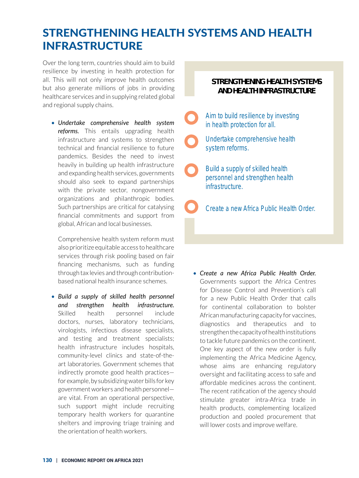## STRENGTHENING HEALTH SYSTEMS AND HEALTH INFRASTRUCTURE

Over the long term, countries should aim to build resilience by investing in health protection for all. This will not only improve health outcomes but also generate millions of jobs in providing healthcare services and in supplying related global and regional supply chains.

• *Undertake comprehensive health system reforms.* This entails upgrading health infrastructure and systems to strengthen technical and financial resilience to future pandemics. Besides the need to invest heavily in building up health infrastructure and expanding health services, governments should also seek to expand partnerships with the private sector, nongovernment organizations and philanthropic bodies. Such partnerships are critical for catalysing financial commitments and support from global, African and local businesses.

Comprehensive health system reform must also prioritize equitable access to healthcare services through risk pooling based on fair financing mechanisms, such as funding through tax levies and through contributionbased national health insurance schemes.

• *Build a supply of skilled health personnel and strengthen health infrastructure.* Skilled health personnel include doctors, nurses, laboratory technicians, virologists, infectious disease specialists, and testing and treatment specialists; health infrastructure includes hospitals, community-level clinics and state-of-theart laboratories. Government schemes that indirectly promote good health practices for example, by subsidizing water bills for key government workers and health personnel are vital. From an operational perspective, such support might include recruiting temporary health workers for quarantine shelters and improving triage training and the orientation of health workers.

#### **STRENGTHENING HEALTH SYSTEMS AND HEALTH INFRASTRUCTURE**

Aim to build resilience by investing in health protection for all. Undertake comprehensive health system reforms. Build a supply of skilled health personnel and strengthen health infrastructure.

Create a new Africa Public Health Order.

• *Create a new Africa Public Health Order.* Governments support the Africa Centres for Disease Control and Prevention's call for a new Public Health Order that calls for continental collaboration to bolster African manufacturing capacity for vaccines, diagnostics and therapeutics and to strengthen the capacity of health institutions to tackle future pandemics on the continent. One key aspect of the new order is fully implementing the Africa Medicine Agency, whose aims are enhancing regulatory oversight and facilitating access to safe and affordable medicines across the continent. The recent ratification of the agency should stimulate greater intra-Africa trade in health products, complementing localized production and pooled procurement that will lower costs and improve welfare.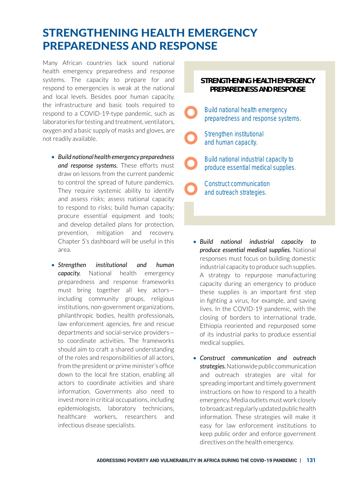## STRENGTHENING HEALTH EMERGENCY PREPAREDNESS AND RESPONSE

Many African countries lack sound national health emergency preparedness and response systems. The capacity to prepare for and respond to emergencies is weak at the national and local levels. Besides poor human capacity, the infrastructure and basic tools required to respond to a COVID-19-type pandemic, such as laboratories for testing and treatment, ventilators, oxygen and a basic supply of masks and gloves, are not readily available.

- *Build national health emergency preparedness and response systems.* These efforts must draw on lessons from the current pandemic to control the spread of future pandemics. They require systemic ability to identify and assess risks; assess national capacity to respond to risks; build human capacity; procure essential equipment and tools; and develop detailed plans for protection, prevention, mitigation and recovery. Chapter 5's dashboard will be useful in this area.
- *Strengthen institutional and human capacity.* National health emergency preparedness and response frameworks must bring together all key actors including community groups, religious institutions, non-government organizations, philanthropic bodies, health professionals, law enforcement agencies, fire and rescue departments and social-service providers to coordinate activities. The frameworks should aim to craft a shared understanding of the roles and responsibilities of all actors, from the president or prime minister's office down to the local fire station, enabling all actors to coordinate activities and share information. Governments also need to invest more in critical occupations, including epidemiologists, laboratory technicians, healthcare workers, researchers and infectious disease specialists.

#### **STRENGTHENING HEALTH EMERGENCY PREPAREDNESS AND RESPONSE**

- Build national health emergency preparedness and response systems.
- Strengthen institutional and human capacity.
	- Build national industrial capacity to produce essential medical supplies.
	- Construct communication and outreach strategies.
- *Build national industrial capacity to produce essential medical supplies.* National responses must focus on building domestic industrial capacity to produce such supplies. A strategy to repurpose manufacturing capacity during an emergency to produce these supplies is an important first step in fighting a virus, for example, and saving lives. In the COVID-19 pandemic, with the closing of borders to international trade, Ethiopia reoriented and repurposed some of its industrial parks to produce essential medical supplies.
- *Construct communication and outreach strategies.* Nationwide public communication and outreach strategies are vital for spreading important and timely government instructions on how to respond to a health emergency. Media outlets must work closely to broadcast regularly updated public health information. These strategies will make it easy for law enforcement institutions to keep public order and enforce government directives on the health emergency.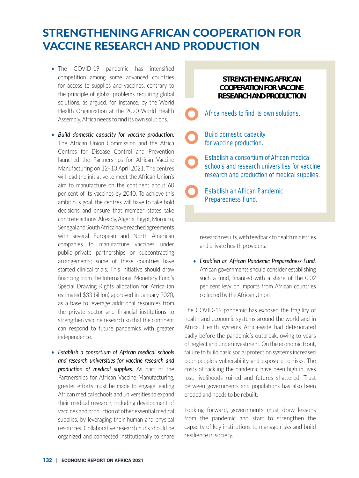## STRENGTHENING AFRICAN COOPERATION FOR VACCINE RESEARCH AND PRODUCTION

- The COVID-19 pandemic has intensified competition among some advanced countries for access to supplies and vaccines, contrary to the principle of global problems requiring global solutions, as argued, for instance, by the World Health Organization at the 2020 World Health Assembly. Africa needs to find its own solutions.
- *Build domestic capacity for vaccine production.*  The African Union Commission and the Africa Centres for Disease Control and Prevention launched the Partnerships for African Vaccine Manufacturing on 12–13 April 2021. The centres will lead the initiative to meet the African Union's aim to manufacture on the continent about 60 per cent of its vaccines by 2040. To achieve this ambitious goal, the centres will have to take bold decisions and ensure that member states take concrete actions. Already, Algeria, Egypt, Morocco, Senegal and South Africa have reached agreements with several European and North American companies to manufacture vaccines under public–private partnerships or subcontracting arrangements; some of these countries have started clinical trials. This initiative should draw financing from the International Monetary Fund's Special Drawing Rights allocation for Africa (an estimated \$33 billion) approved in January 2020, as a base to leverage additional resources from the private sector and financial institutions to strengthen vaccine research so that the continent can respond to future pandemics with greater independence.
- *Establish a consortium of African medical schools and research universities for vaccine research and production of medical supplies.* As part of the Partnerships for African Vaccine Manufacturing, greater efforts must be made to engage leading African medical schools and universities to expand their medical research, including development of vaccines and production of other essential medical supplies, by leveraging their human and physical resources. Collaborative research hubs should be organized and connected institutionally to share

#### **STRENGTHENING AFRICAN COOPERATION FOR VACCINE RESEARCH AND PRODUCTION**

- Africa needs to find its own solutions.
- Build domestic capacity for vaccine production.
	- Establish a consortium of African medical schools and research universities for vaccine research and production of medical supplies.
- Establish an African Pandemic Preparedness Fund.

research results, with feedback to health ministries and private health providers.

• *Establish an African Pandemic Preparedness Fund.* African governments should consider establishing such a fund, financed with a share of the 0.02 per cent levy on imports from African countries collected by the African Union.

The COVID-19 pandemic has exposed the fragility of health and economic systems around the world and in Africa. Health systems Africa-wide had deteriorated badly before the pandemic's outbreak, owing to years of neglect and underinvestment. On the economic front, failure to build basic social protection systems increased poor people's vulnerability and exposure to risks. The costs of tackling the pandemic have been high in lives lost, livelihoods ruined and futures shattered. Trust between governments and populations has also been eroded and needs to be rebuilt.

Looking forward, governments must draw lessons from the pandemic and start to strengthen the capacity of key institutions to manage risks and build resilience in society.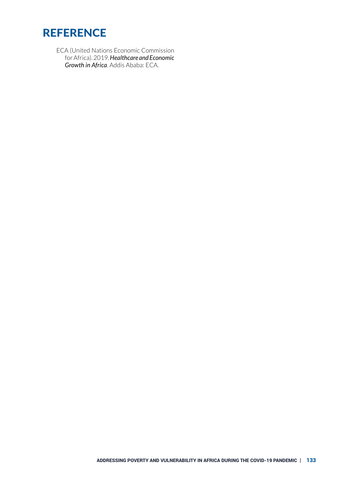

ECA (United Nations Economic Commission for Africa). 2019. *Healthcare and Economic Growth in Africa*. Addis Ababa: ECA.